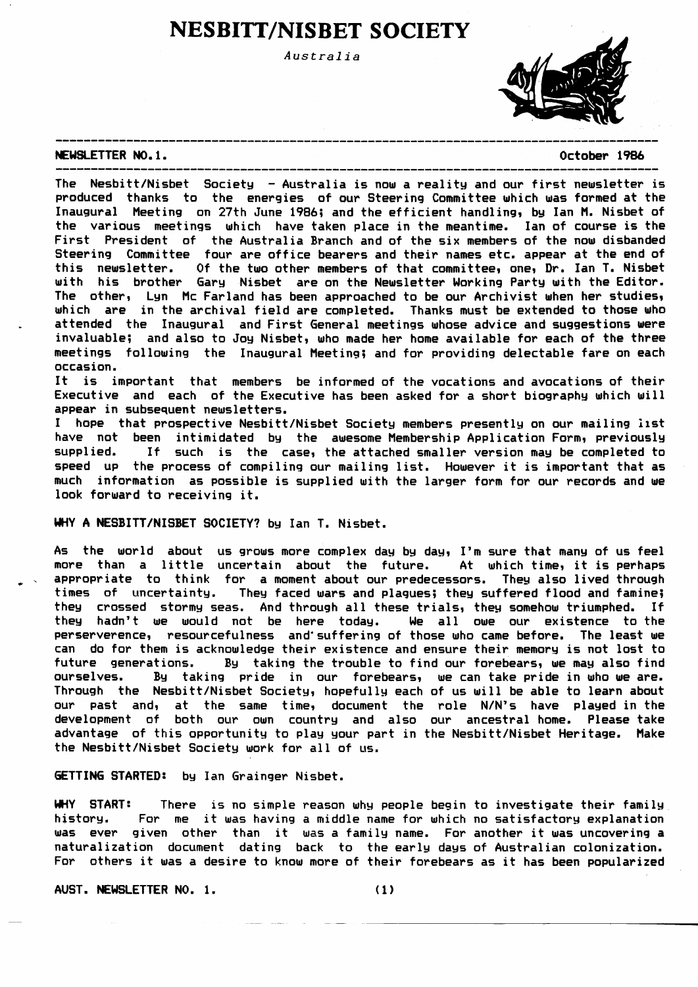# **NESBITT/NISBET SOCIETY**

Australia



#### NEWSLETTER NO.1.

October 1986

The Nesbitt/Nisbet Society - Australia is now a reality and our first newsletter is produced thanks to the energies of our Steering Committee which was formed at the Inaugural Meeting on 27th June 1986; and the efficient handling, by Ian M. Nisbet of the various meetings which have taken place in the meantime. Ian of course is the First President of the Australia Branch and of the six members of the now disbanded Steering Committee four are office bearers and their names etc. appear at the end of this newsletter. Of the two other members of that committee, one, Dr. Ian T. Nisbet with his brother Gary Nisbet are on the Newsletter Working Party with the Editor. The other, Lyn Mc Farland has been approached to be our Archivist when her studies, which are in the archival field are completed. Thanks must be extended to those who attended the Inaugural and First General meetings whose advice and suggestions were invaluable; and also to Joy Nisbet, who made her home available for each of the three meetings following the Inaugural Meeting; and for providing delectable fare on each occasion.

It is important that members be informed of the vocations and avocations of their Executive and each of the Executive has been asked for a short biography which will appear in subsequent newsletters.

I hope that prospective Nesbitt/Nisbet Society members presently on our mailing list have not been intimidated by the awesome Membership Application Form, previously supplied. If such is the case, the attached smaller version may be completed to speed up the process of compiling our mailing list. However it is important that as much information as possible is supplied with the larger form for our records and we look forward to receiving it.

## WHY A NESBITT/NISBET SOCIETY? by Ian T. Nisbet.

As the world about us grows more complex day by day, I'm sure that many of us feel more than a little uncertain about the future. At which time, it is perhaps appropriate to think for a moment about our predecessors. They also lived through times of uncertainty. They faced wars and plagues; they suffered flood and famine; they crossed stormy seas. And through all these trials, they somehow triumphed. If they hadn't we would not be here today. We all owe our existence to the perserverence, resourcefulness and suffering of those who came before. The least we can do for them is acknowledge their existence and ensure their memory is not lost to future generations. By taking the trouble to find our forebears, we may also find ourselves. By taking pride in our forebears, we can take pride in who we are. Through the Nesbitt/Nisbet Society, hopefully each of us will be able to learn about our past and, at the same time, document the role N/N's have played in the development of both our own country and also our ancestral home. Please take advantage of this opportunity to play your part in the Nesbitt/Nisbet Heritage. Make the Nesbitt/Nisbet Society work for all of us.

GETTING STARTED: by Ian Grainger Nisbet.

WHY START: There is no simple reason why people begin to investigate their family history. For me it was having a middle name for which no satisfactory explanation was ever given other than it was a family name. For another it was uncovering a naturalization document dating back to the early days of Australian colonization. For others it was a desire to know more of their forebears as it has been popularized

AUST. NEWSLETTER NO. 1.

 $(1)$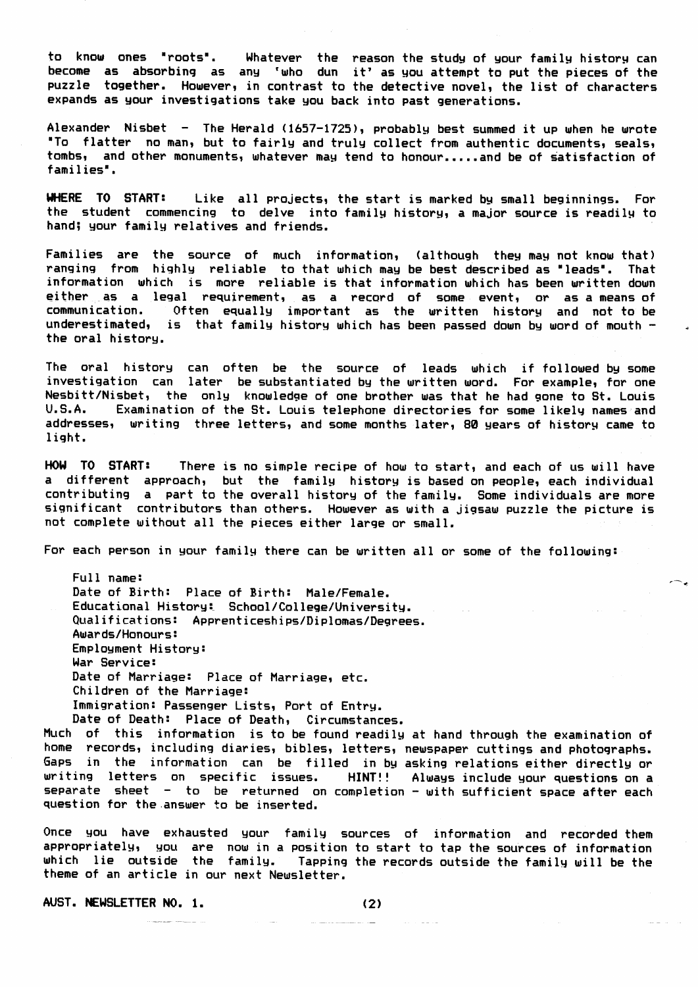to know ones "roots". Whatever the reason the study of your family history can become as absorbing as any 'who dun it' as you attempt to put the pieces of the puzzle together. However, in contrast to the detective novel, the list of characters expands as your investigations take you back into past generations.

Alexander Nisbet - The Herald (1657-1725), probably best summed it up when he wrote "To flatter no man, but to fairly and truly collect from authentic documents, seals, tombs, and other monuments, whatever may tend to honour.....and be of satisfaction of families".

WHERE TO START: Like all projects, the start is marked by small beginnings. For the student commencing to delve into family history, a major source is readily to hand; your family relatives and friends.

Families are the source of much information, (although they may not know that) ranging from highly reliable to that which may be best described as "leads". That information which is more reliable is that information which has been written down either as a legal requirement, as a record of some event, or as a means of communication. Often equally important as the written history and not to be underestimated, is that family history which has been passed down by word of mouth  $$ the oral history.

The oral history can often be the source of leads which if followed by some investigation can later be substantiated by the written word. For example, for one Nesbitt/Nisbet, the only knowledge of one brother was that he had gone to St. Louis U.S.A. Examination of the St. Louis telephone directories for some likely names and addresses, writing three letters, and some months later, 80 years of history came to light.

HOW TO START: There is no simple recipe of how to start, and each of us will have a different approach, but the family history is based on people, each individual contributing a part to the overall history of the family. Some individuals are more significant contributors than others. However as with a jigsaw puzzle the picture is not complete without all the pieces either large or small.

For each person in your family there can be written all or some of the following:

Full name: Date of Birth: Place of Birth: Male/Female. Educational History: School/College/University. Qualifications: Apprenticeships/Diplomas/Degrees. **Awards/Honours:** Employment History: War Service: Date of Marriage: Place of Marriage, etc. Children of the Marriage: Immigration: Passenger Lists, Port of Entry. Date of Death: Place of Death, Circumstances.

Much of this information is to be found readily at hand through the examination of home records, including diaries, bibles, letters, newspaper cuttings and photographs. Gaps in the information can be filled in by asking relations either directly or writing letters on specific issues. HINT!! Always include your questions on a separate sheet - to be returned on completion - with sufficient space after each question for the answer to be inserted.

Once you have exhausted your family sources of information and recorded them appropriately, you are now in a position to start to tap the sources of information which lie outside the family. Tapping the records outside the family will be the theme of an article in our next Newsletter.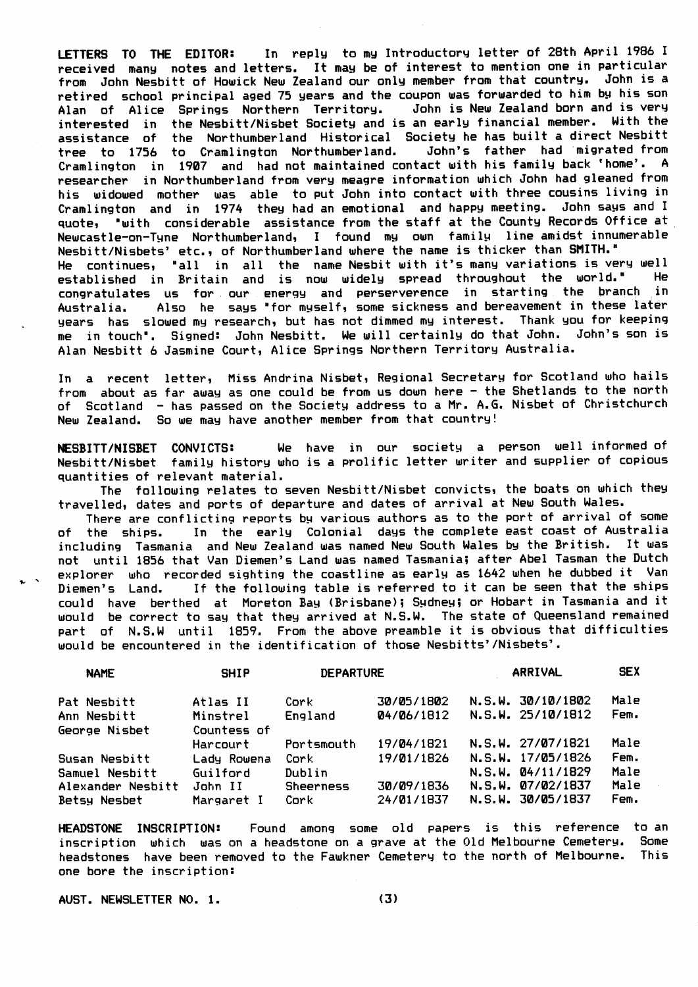In reply to my Introductory letter of 28th April 1986 I LETTERS TO THE EDITOR: received many notes and letters. It may be of interest to mention one in particular from John Nesbitt of Howick New Zealand our only member from that country. John is a retired school principal aged 75 years and the coupon was forwarded to him by his son Alan of Alice Springs Northern Territory. John is New Zealand born and is very interested in the Nesbitt/Nisbet Society and is an early financial member. With the assistance of the Northumberland Historical Society he has built a direct Nesbitt<br>tree to 1756 to Cramlington Northumberland. John's father had migrated from Cramlington in 1907 and had not maintained contact with his family back 'home'. A researcher in Northumberland from very meagre information which John had gleaned from his widowed mother was able to put John into contact with three cousins living in Cramlington and in 1974 they had an emotional and happy meeting. John says and I quote, "with considerable assistance from the staff at the County Records Office at Newcastle-on-Tyne Northumberland, I found my own family line amidst innumerable Nesbitt/Nisbets' etc., of Northumberland where the name is thicker than SMITH." He continues, "all in all the name Nesbit with it's many variations is very well established in Britain and is now widely spread throughout the world." He congratulates us for our energy and perserverence in starting the branch in Australia. Also he says "for myself, some sickness and bereavement in these later years has slowed my research, but has not dimmed my interest. Thank you for keeping me in touch". Signed: John Nesbitt. We will certainly do that John. John's son is Alan Nesbitt 6 Jasmine Court, Alice Springs Northern Territory Australia.

In a recent letter, Miss Andrina Nisbet, Regional Secretary for Scotland who hails from about as far away as one could be from us down here - the Shetlands to the north of Scotland - has passed on the Society address to a Mr. A.G. Nisbet of Christchurch New Zealand. So we may have another member from that country!

We have in our society a person well informed of NESBITT/NISBET CONVICTS: Nesbitt/Nisbet family history who is a prolific letter writer and supplier of copious quantities of relevant material.

The following relates to seven Nesbitt/Nisbet convicts, the boats on which they travelled, dates and ports of departure and dates of arrival at New South Wales.

There are conflicting reports by various authors as to the port of arrival of some of the ships. In the early Colonial days the complete east coast of Australia including Tasmania and New Zealand was named New South Wales by the British. It was not until 1856 that Van Diemen's Land was named Tasmania; after Abel Tasman the Dutch explorer who recorded sighting the coastline as early as 1642 when he dubbed it Van Diemen's Land. If the following table is referred to it can be seen that the ships could have berthed at Moreton Bay (Brisbane); Sydney; or Hobart in Tasmania and it would be correct to say that they arrived at N.S.W. The state of Queensland remained part of N.S.W until 1859. From the above preamble it is obvious that difficulties would be encountered in the identification of those Nesbitts'/Nisbets'.

| <b>NAME</b>                                                | <b>SHIP</b>                       | <b>DEPARTURE</b>            |                          | ARRIVAL | <b>SEX</b>                                                  |                      |
|------------------------------------------------------------|-----------------------------------|-----------------------------|--------------------------|---------|-------------------------------------------------------------|----------------------|
| Pat Nesbitt<br>Ann Nesbitt                                 | Atlas II<br>Minstrel              | Cork<br>England             | 30/05/1802<br>04/06/1812 |         | N.S.W. 30/10/1802<br>N.S.W. 25/10/1812                      | Male<br>Fem.         |
| George Nisbet                                              | Countess of<br>Harcourt           | Portsmouth                  | 19/04/1821               |         | N.S.W. 27/07/1821                                           | Male                 |
| Susan Nesbitt                                              | Lady Rowena                       | Cork                        | 19/01/1826               |         | N.S.W. 17/05/1826                                           | Fem.                 |
| <b>Samuel Nesbitt</b><br>Alexander Nesbitt<br>Betsy Nesbet | Guilford<br>John II<br>Margaret I | Dublin<br>Sheerness<br>Cork | 30/09/1836<br>24/01/1837 |         | N.S.W. 04/11/1829<br>N.S.W. 07/02/1837<br>N.S.W. 30/05/1837 | Male<br>Male<br>Fem. |

HEADSTONE INSCRIPTION: Found among some old papers is this reference to an inscription which was on a headstone on a grave at the Old Melbourne Cemetery. Some headstones have been removed to the Fawkner Cemetery to the north of Melbourne. This one bore the inscription: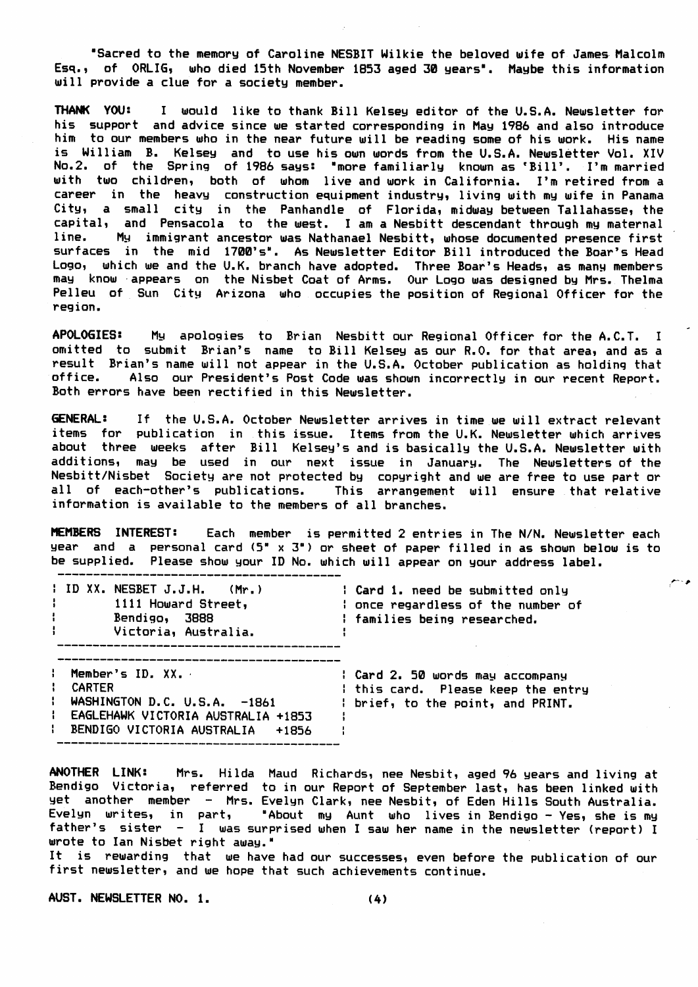"Sacred to the memory of Caroline NESBIT Wilkie the beloved wife of James Malcolm Esq., of ORLIG, who died 15th November 1853 aged 30 years". Maybe this information will provide a clue for a society member.

THANK YOU: I would like to thank Bill Kelsey editor of the U.S.A. Newsletter for his support and advice since we started corresponding in May 1986 and also introduce him to our members who in the near future will be reading some of his work. His name is William B. Kelsey and to use his own words from the U.S.A. Newsletter Vol. XIV No.2. of the Spring of 1986 says: "more familiarly known as 'Bill'. I'm married with two children, both of whom live and work in California. I'm retired from a career in the heavy construction equipment industry, living with my wife in Panama City, a small city in the Panhandle of Florida, midway between Tallahasse, the capital, and Pensacola to the west. I am a Nesbitt descendant through my maternal line. My immigrant ancestor was Nathanael Nesbitt, whose documented presence first surfaces in the mid 1700's". As Newsletter Editor Bill introduced the Boar's Head Logo, which we and the U.K. branch have adopted. Three Boar's Heads, as many members may know appears on the Nisbet Coat of Arms. Our Logo was designed by Mrs. Thelma Pelleu of Sun City Arizona who occupies the position of Regional Officer for the region.

**APOLOGIES:** My apologies to Brian Nesbitt our Regional Officer for the A.C.T. I omitted to submit Brian's name to Bill Kelsey as our R.O. for that area, and as a result Brian's name will not appear in the U.S.A. October publication as holding that office. Also our President's Post Code was shown incorrectly in our recent Report. Both errors have been rectified in this Newsletter.

**GENERAL:** If the U.S.A. October Newsletter arrives in time we will extract relevant items for publication in this issue. Items from the U.K. Newsletter which arrives about three weeks after Bill Kelsey's and is basically the U.S.A. Newsletter with additions, may be used in our next issue in January. The Newsletters of the Nesbitt/Nisbet Society are not protected by copyright and we are free to use part or all of each-other's publications. This arrangement will ensure that relative information is available to the members of all branches.

MEMBERS INTEREST: Each member is permitted 2 entries in The N/N. Newsletter each year and a personal card (5" x 3") or sheet of paper filled in as shown below is to be supplied. Please show your ID No. which will appear on your address label.

| $\parallel$ ID XX. NESBET J.J.H. $(Mr_{\star})$<br>Н.<br>1111 Howard Street,<br>$\mathbf{1}$<br>Bendigo, 3888<br>$\mathbf{F}$ and $\mathbf{F}$<br>Victoria, Australia. | : Card 1. need be submitted only<br>: once regardless of the number of<br>: families being researched.      |
|------------------------------------------------------------------------------------------------------------------------------------------------------------------------|-------------------------------------------------------------------------------------------------------------|
| : Member's ID. XX.<br><b>CARTER</b><br>$\mathbf{1}$<br>WASHINGTON D.C. U.S.A. -1861<br>: EAGLEHAWK VICTORIA AUSTRALIA +1853<br>BENDIGO VICTORIA AUSTRALIA +1856        | : Card 2. 50 words may accompany<br>I this card. Please keep the entry<br>I brief, to the point, and PRINT. |

ANOTHER LINK: Mrs. Hilda Maud Richards, nee Nesbit, aged 96 years and living at Bendigo Victoria, referred to in our Report of September last, has been linked with yet another member - Mrs. Evelyn Clark, nee Nesbit, of Eden Hills South Australia. Evelyn writes, in part, "About my Aunt who lives in Bendigo - Yes, she is my father's sister - I was surprised when I saw her name in the newsletter (report) I wrote to Ian Nisbet right away."

It is rewarding that we have had our successes, even before the publication of our first newsletter, and we hope that such achievements continue.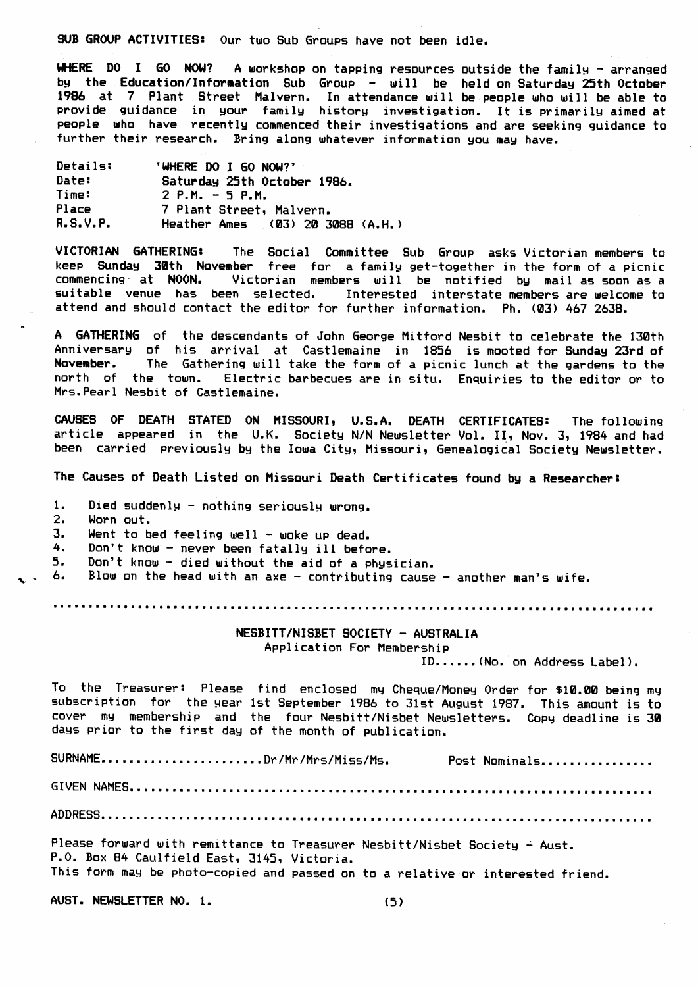SUB GROUP ACTIVITIES: Our two Sub Groups have not been idle.

WHERE DO I GO NOW? A workshop on tapping resources outside the family - arranged by the Education/Information Sub Group - will be held on Saturday 25th October 1986 at 7 Plant Street Malvern. In attendance will be people who will be able to provide guidance in your family history investigation. It is primarily aimed at people who have recently commenced their investigations and are seeking guidance to further their research. Brinq along uhatever infornation gou nag have.

| Details: | 'WHERE DO I GO NOW?'             |
|----------|----------------------------------|
| Date:    | Saturday 25th October 1986.      |
| Time:    | $2$ P.M. $-5$ P.M.               |
| Place    | 7 Plant Street, Malvern.         |
| R.S.V.P. | Heather Ames (03) 20 3088 (A.H.) |

VICTORIAN GATHERING: The Social Committee Sub Group asks Victorian members to keep Sunday 30th November free for a family get-together in the form of a picnic commencing: at NOON. Victorian members will be notified by mail as soon as a suitable venue has been selected. Interested interstate members are welcome to attend and should contact the editor for further information. Ph. (03) 467 2618.

A GATHERING of the descendants of John George Mitford Nesbit to celebrate the 130th Anniversary of his arrival at Castlemaine in 1856 is mooted for Sunday 23rd of<br>November. The Gathering will take the form of a picnic lunch at the gardens to the The Gathering will take the form of a picnic lunch at the gardens to the north of the town. Electric barbecues are in situ. Enquiries to the editor or to Mrs. Pearl Nesbit of Castlemaine.

CAUSES OF DEATH STATED ON MISSOURI, U.S.A. DEATH CERTIFICATES: The following article appeared in the U.K. Society N/N Newsletter Vol. II, Nov. 3, 1984 and had been carried previously by the Iowa City, Missouri, Genealogical Society Newsletter.

The Causes of Death Listed on Missouri Death Certificates found by a Researcher:

1. Died suddenly – nothing seriously wrong.<br>2. Worn out.

Worn out.

3. Went to bed feeling well - woke up dead.

4. Don't know - never been fatally ill before.

5. Don't knou - died uithout the aid of a phgsician.

6. Blow on the head with an axe - contributing cause - another man's wife.

# NESBITT/NISBET SOCIETY - AUSTRALIA

Application For Membership

ID,.,,,.(No, on Address Label).

To the Treasurer: Please find enclosed my Cheque/Money Order for \$10.00 being my subscription for the year 1st September 1986 to 31st August 1987. This amount is to cover my membership and the four-Nesbitt/Nisbet-Newsletters. Copy-deadline is 30 days prior to the first day of the month of publication

SURNAME.......................Dr/Mr/Mrs/Miss/Ms. Post Nominals................

6I VEN NAT'IEs.

ADDRESS.

Please forward with remittance to Treasurer Nesbitt/Nisbet Society – Aust. P.O. Box 84 Caulfield East, 3145, Victoria.

This form may be photo-copied and passed on to a relative or interested friend

AUST. NEWSLETTER NO. 1.

(5)